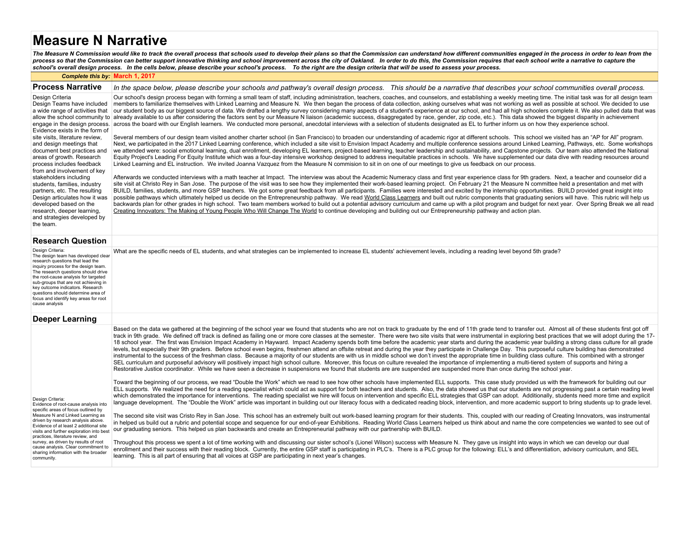## **Measure N Narrative**

The Measure N Commission would like to track the overall process that schools used to develop their plans so that the Commission can understand how different communities engaged in the process in order to lean from the<br>pro

*Complete this by:* **March 1, 2017**

| <b>Process Narrative</b>                                                                                                                                                                                                                                                                                                                                                                        | In the space below, please describe your schools and pathway's overall design process. This should be a narrative that describes your school communities overall process.                                                                                                                                                                                                                                                                                                                                                                                                                                                                                                                                                                                                                                                                                                                                                                                                                                                                                                                                                                                                                                                                                                                                                                                                                                                                                                                           |
|-------------------------------------------------------------------------------------------------------------------------------------------------------------------------------------------------------------------------------------------------------------------------------------------------------------------------------------------------------------------------------------------------|-----------------------------------------------------------------------------------------------------------------------------------------------------------------------------------------------------------------------------------------------------------------------------------------------------------------------------------------------------------------------------------------------------------------------------------------------------------------------------------------------------------------------------------------------------------------------------------------------------------------------------------------------------------------------------------------------------------------------------------------------------------------------------------------------------------------------------------------------------------------------------------------------------------------------------------------------------------------------------------------------------------------------------------------------------------------------------------------------------------------------------------------------------------------------------------------------------------------------------------------------------------------------------------------------------------------------------------------------------------------------------------------------------------------------------------------------------------------------------------------------------|
| Design Criteria<br>Evidence exists in the form of<br>site visits, literature review,                                                                                                                                                                                                                                                                                                            | Our school's design process began with forming a small team of staff, including administration, teachers, coaches, and counselors, and establishing a weekly meeting time. The initial task was for all design team<br>Design Teams have included members to familiarize themselves with Linked Learning and Measure N. We then began the process of data collection, asking ourselves what was not working as well as possible at school. We decided<br>a wide range of activities that our student body as our biggest source of data. We drafted a lengthy survey considering many aspects of a student's experience at our school, and had all high schoolers complete it. We also<br>allow the school community to already available to us after considering the factors sent by our Measure N liaison (academic success, disaggregated by race, gender, zip code, etc.). This data showed the biggest disparity in<br>engage in the design process. across the board with our English learners. We conducted more personal, anecdotal interviews with a selection of students designated as EL to further inform us on how they experience school.<br>Several members of our design team visited another charter school (in San Francisco) to broaden our understanding of academic rigor at different schools. This school we visited has an "AP for All" program.                                                                                                                           |
| and design meetings that<br>document best practices and<br>areas of growth. Research<br>process includes feedback<br>from and involvement of key                                                                                                                                                                                                                                                | Next, we participated in the 2017 Linked Learning conference, which included a site visit to Envision Impact Academy and multiple conference sessions around Linked Learning, Pathways, etc. Some workshops<br>we attended were: social emotional learning, dual enrollment, developing EL learners, project-based learning, teacher leadership and sustainability, and Capstone projects. Our team also attended the National<br>Equity Project's Leading For Equity Institute which was a four-day intensive workshop designed to address inequitable practices in schools. We have supplemented our data dive with reading resources around<br>Linked Learning and EL instruction. We invited Joanna Vazquez from the Measure N commision to sit in on one of our meetings to give us feedback on our process.                                                                                                                                                                                                                                                                                                                                                                                                                                                                                                                                                                                                                                                                                   |
| stakeholders including<br>students, families, industry<br>partners, etc. The resulting<br>Design articulates how it was<br>developed based on the<br>research, deeper learning,<br>and strategies developed by<br>the team.                                                                                                                                                                     | Afterwards we conducted interviews with a math teacher at Impact. The interview was about the Academic Numeracy class and first year experience class for 9th graders. Next, a teacher and counselor did a<br>site visit at Christo Rey in San Jose. The purpose of the visit was to see how they implemented their work-based learning project. On February 21 the Measure N committee held a presentation and met with<br>BUILD, families, students, and more GSP teachers. We got some great feedback from all participants. Families were interested and excited by the internship opportunities. BUILD provided great insight into<br>possible pathways which ultimately helped us decide on the Entrepreneurship pathway. We read World Class Learners and built out rubric components that graduating seniors will have. This rubric will help us<br>backwards plan for other grades in high school. Two team members worked to build out a potential advisory curriculum and came up with a pilot program and budget for next year. Over Spring Break we all read<br>Creating Innovators: The Making of Young People Who Will Change The World to continue developing and building out our Entrepreneurship pathway and action plan.                                                                                                                                                                                                                                                        |
| <b>Research Question</b>                                                                                                                                                                                                                                                                                                                                                                        |                                                                                                                                                                                                                                                                                                                                                                                                                                                                                                                                                                                                                                                                                                                                                                                                                                                                                                                                                                                                                                                                                                                                                                                                                                                                                                                                                                                                                                                                                                     |
| Design Criteria:<br>The design team has developed clear<br>research questions that lead the<br>inquiry process for the design team.<br>The research questions should drive<br>the root-cause analysis for targeted<br>sub-groups that are not achieving in<br>key outcome indicators. Research<br>questions should determine area of<br>focus and identify key areas for root<br>cause analysis | What are the specific needs of EL students, and what strategies can be implemented to increase EL students' achievement levels, including a reading level beyond 5th grade?                                                                                                                                                                                                                                                                                                                                                                                                                                                                                                                                                                                                                                                                                                                                                                                                                                                                                                                                                                                                                                                                                                                                                                                                                                                                                                                         |
| <b>Deeper Learning</b>                                                                                                                                                                                                                                                                                                                                                                          |                                                                                                                                                                                                                                                                                                                                                                                                                                                                                                                                                                                                                                                                                                                                                                                                                                                                                                                                                                                                                                                                                                                                                                                                                                                                                                                                                                                                                                                                                                     |
|                                                                                                                                                                                                                                                                                                                                                                                                 | Based on the data we gathered at the beginning of the school year we found that students who are not on track to graduate by the end of 11th grade tend to transfer out. Almost all of these students first got off<br>track in 9th grade. We defined off track is defined as failing one or more core classes at the semester. There were two site visits that were instrumental in exploring best practices that we will adopt during the 17-<br>18 school year. The first was Envision Impact Academy in Hayward. Impact Academy spends both time before the academic year starts and during the academic year building a strong class culture for all grade<br>levels, but especially their 9th graders. Before school even begins, freshmen attend an offsite retreat and during the year they participate in Challenge Day. This purposeful culture building has demonstrated<br>instrumental to the success of the freshman class. Because a majority of our students are with us in middle school we don't invest the appropriate time in building class culture. This combined with a stronger<br>SEL curriculum and purposeful advisory will positively impact high school culture. Moreover, this focus on culture revealed the importance of implementing a multi-tiered system of supports and hiring a<br>Restorative Justice coordinator. While we have seen a decrease in suspensions we found that students are are suspended are suspended more than once during the school year. |
| Design Criteria:<br>Evidence of root-cause analysis into<br>specific areas of focus outlined by                                                                                                                                                                                                                                                                                                 | Toward the beginning of our process, we read "Double the Work" which we read to see how other schools have implemented ELL supports. This case study provided us with the framework for building out our<br>ELL supports. We realized the need for a reading specialist which could act as support for both teachers and students. Also, the data showed us that our students are not progressing past a certain reading level<br>which demonstrated the importance for interventions. The reading specialist we hire will focus on intervention and specific ELL strategies that GSP can adopt. Additionally, students need more time and explicit<br>language development. The "Double the Work" article was important in building out our literacy focus with a dedicated reading block, intervention, and more academic support to bring students up to grade level.                                                                                                                                                                                                                                                                                                                                                                                                                                                                                                                                                                                                                            |
| Measure N and Linked Learning as<br>driven by research analysis above.<br>Evidence of at least 2 additional site<br>visits and further exploration into best<br>practices, literature review, and                                                                                                                                                                                               | The second site visit was Cristo Rey in San Jose. This school has an extremely built out work-based learning program for their students. This, coupled with our reading of Creating Innovators, was instrumental<br>in helped us build out a rubric and potential scope and sequence for our end-of-year Exhibitions. Reading World Class Learners helped us think about and name the core competencies we wanted to see out of<br>our graduating seniors. This helped us plan backwards and create an Entrepreneurial pathway with our partnership with BUILD.                                                                                                                                                                                                                                                                                                                                                                                                                                                                                                                                                                                                                                                                                                                                                                                                                                                                                                                                     |
| survey, as driven by results of root<br>cause analysis. Clear commitment to<br>sharing information with the broader<br>community.                                                                                                                                                                                                                                                               | Throughout this process we spent a lot of time working with and discussing our sister school's (Lionel Wilson) success with Measure N. They gave us insight into ways in which we can develop our dual<br>enrollment and their success with their reading block. Currently, the entire GSP staff is participating in PLC's. There is a PLC group for the following: ELL's and differentiation, advisory curriculum, and SEL<br>learning. This is all part of ensuring that all voices at GSP are participating in next year's changes.                                                                                                                                                                                                                                                                                                                                                                                                                                                                                                                                                                                                                                                                                                                                                                                                                                                                                                                                                              |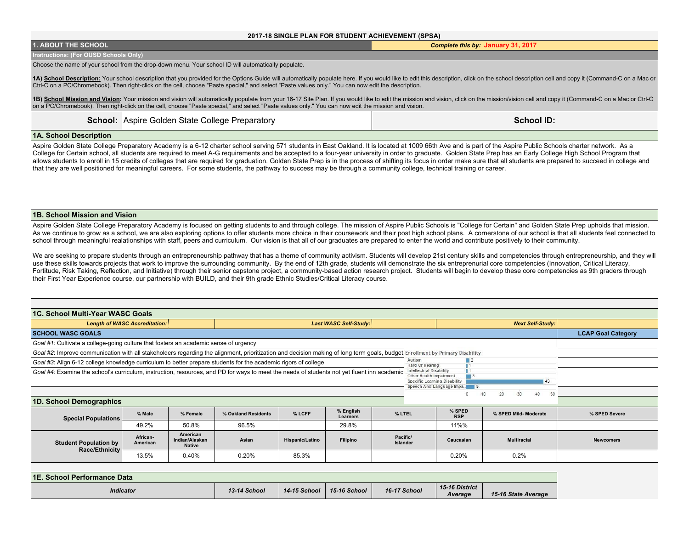|  | 2017-18 SINGLE PLAN FOR STUDENT ACHIEVEMENT (SPSA) |  |
|--|----------------------------------------------------|--|
|--|----------------------------------------------------|--|

| <b>1. ABOUT THE SCHOOL</b>                                                                                                                                                                                                                                                                                                                                                                                                                                                                                                                                                                                                                                                                                                                                                                                                                                                                                                                                                                                                                                                                                                                                                                                                                                                                                                                                                                                                                     |                                      |                                             |                                                        |                 |                              |                        |                                                                                    | Complete this by: January 31, 2017 |                                                                                                                                                                                                                                |
|------------------------------------------------------------------------------------------------------------------------------------------------------------------------------------------------------------------------------------------------------------------------------------------------------------------------------------------------------------------------------------------------------------------------------------------------------------------------------------------------------------------------------------------------------------------------------------------------------------------------------------------------------------------------------------------------------------------------------------------------------------------------------------------------------------------------------------------------------------------------------------------------------------------------------------------------------------------------------------------------------------------------------------------------------------------------------------------------------------------------------------------------------------------------------------------------------------------------------------------------------------------------------------------------------------------------------------------------------------------------------------------------------------------------------------------------|--------------------------------------|---------------------------------------------|--------------------------------------------------------|-----------------|------------------------------|------------------------|------------------------------------------------------------------------------------|------------------------------------|--------------------------------------------------------------------------------------------------------------------------------------------------------------------------------------------------------------------------------|
| Instructions: (For OUSD Schools Only)                                                                                                                                                                                                                                                                                                                                                                                                                                                                                                                                                                                                                                                                                                                                                                                                                                                                                                                                                                                                                                                                                                                                                                                                                                                                                                                                                                                                          |                                      |                                             |                                                        |                 |                              |                        |                                                                                    |                                    |                                                                                                                                                                                                                                |
| Choose the name of your school from the drop-down menu. Your school ID will automatically populate.                                                                                                                                                                                                                                                                                                                                                                                                                                                                                                                                                                                                                                                                                                                                                                                                                                                                                                                                                                                                                                                                                                                                                                                                                                                                                                                                            |                                      |                                             |                                                        |                 |                              |                        |                                                                                    |                                    |                                                                                                                                                                                                                                |
| Ctrl-C on a PC/Chromebook). Then right-click on the cell, choose "Paste special," and select "Paste values only." You can now edit the description.                                                                                                                                                                                                                                                                                                                                                                                                                                                                                                                                                                                                                                                                                                                                                                                                                                                                                                                                                                                                                                                                                                                                                                                                                                                                                            |                                      |                                             |                                                        |                 |                              |                        |                                                                                    |                                    | 1A) School Description: Your school description that you provided for the Options Guide will automatically populate here. If you would like to edit this description, click on the school description cell and copy it (Comman |
| on a PC/Chromebook). Then right-click on the cell, choose "Paste special," and select "Paste values only." You can now edit the mission and vision.                                                                                                                                                                                                                                                                                                                                                                                                                                                                                                                                                                                                                                                                                                                                                                                                                                                                                                                                                                                                                                                                                                                                                                                                                                                                                            |                                      |                                             |                                                        |                 |                              |                        |                                                                                    |                                    | 1B) School Mission and Vision: Your mission and vision will automatically populate from your 16-17 Site Plan. If you would like to edit the mission and vision, click on the mission/vision cell and copy it (Command-C on a M |
|                                                                                                                                                                                                                                                                                                                                                                                                                                                                                                                                                                                                                                                                                                                                                                                                                                                                                                                                                                                                                                                                                                                                                                                                                                                                                                                                                                                                                                                |                                      |                                             | <b>School:</b> Aspire Golden State College Preparatory |                 |                              |                        |                                                                                    | <b>School ID:</b>                  |                                                                                                                                                                                                                                |
| 1A. School Description                                                                                                                                                                                                                                                                                                                                                                                                                                                                                                                                                                                                                                                                                                                                                                                                                                                                                                                                                                                                                                                                                                                                                                                                                                                                                                                                                                                                                         |                                      |                                             |                                                        |                 |                              |                        |                                                                                    |                                    |                                                                                                                                                                                                                                |
| Aspire Golden State College Preparatory Academy is a 6-12 charter school serving 571 students in East Oakland. It is located at 1009 66th Ave and is part of the Aspire Public Schools charter network. As a<br>College for Certain school, all students are required to meet A-G requirements and be accepted to a four-year university in order to graduate. Golden State Prep has an Early College High School Program that<br>allows students to enroll in 15 credits of colleges that are required for graduation. Golden State Prep is in the process of shifting its focus in order make sure that all students are prepared to succeed in college and<br>that they are well positioned for meaningful careers. For some students, the pathway to success may be through a community college, technical training or career.                                                                                                                                                                                                                                                                                                                                                                                                                                                                                                                                                                                                             |                                      |                                             |                                                        |                 |                              |                        |                                                                                    |                                    |                                                                                                                                                                                                                                |
| 1B. School Mission and Vision                                                                                                                                                                                                                                                                                                                                                                                                                                                                                                                                                                                                                                                                                                                                                                                                                                                                                                                                                                                                                                                                                                                                                                                                                                                                                                                                                                                                                  |                                      |                                             |                                                        |                 |                              |                        |                                                                                    |                                    |                                                                                                                                                                                                                                |
| Aspire Golden State College Preparatory Academy is focused on getting students to and through college. The mission of Aspire Public Schools is "College for Certain" and Golden State Prep upholds that mission.<br>As we continue to grow as a school, we are also exploring options to offer students more choice in their coursework and their post high school plans. A cornerstone of our school is that all students feel connected to<br>school through meaningful realationships with staff, peers and curriculum. Our vision is that all of our graduates are prepared to enter the world and contribute positively to their community.<br>We are seeking to prepare students through an entrepreneurship pathway that has a theme of community activism. Students will develop 21st century skills and competencies through entrepreneurship, and they will<br>use these skills towards projects that work to improve the surrounding community. By the end of 12th grade, students will demonstrate the six entreprenurial core competencies (Innovation, Critical Literacy,<br>Fortitude, Risk Taking, Reflection, and Initiative) through their senior capstone project, a community-based action research project. Students will begin to develop these core competencies as 9th graders through<br>their First Year Experience course, our partnership with BUILD, and their 9th grade Ethnic Studies/Critical Literacy course. |                                      |                                             |                                                        |                 |                              |                        |                                                                                    |                                    |                                                                                                                                                                                                                                |
|                                                                                                                                                                                                                                                                                                                                                                                                                                                                                                                                                                                                                                                                                                                                                                                                                                                                                                                                                                                                                                                                                                                                                                                                                                                                                                                                                                                                                                                |                                      |                                             |                                                        |                 |                              |                        |                                                                                    |                                    |                                                                                                                                                                                                                                |
| 1C. School Multi-Year WASC Goals                                                                                                                                                                                                                                                                                                                                                                                                                                                                                                                                                                                                                                                                                                                                                                                                                                                                                                                                                                                                                                                                                                                                                                                                                                                                                                                                                                                                               |                                      |                                             |                                                        |                 |                              |                        |                                                                                    |                                    |                                                                                                                                                                                                                                |
|                                                                                                                                                                                                                                                                                                                                                                                                                                                                                                                                                                                                                                                                                                                                                                                                                                                                                                                                                                                                                                                                                                                                                                                                                                                                                                                                                                                                                                                | <b>Length of WASC Accreditation:</b> |                                             |                                                        |                 | <b>Last WASC Self-Study:</b> |                        |                                                                                    | <b>Next Self-Study:</b>            |                                                                                                                                                                                                                                |
| <b>SCHOOL WASC GOALS</b>                                                                                                                                                                                                                                                                                                                                                                                                                                                                                                                                                                                                                                                                                                                                                                                                                                                                                                                                                                                                                                                                                                                                                                                                                                                                                                                                                                                                                       |                                      |                                             |                                                        |                 |                              |                        |                                                                                    |                                    | <b>LCAP Goal Category</b>                                                                                                                                                                                                      |
| Goal #1: Cultivate a college-going culture that fosters an academic sense of urgency                                                                                                                                                                                                                                                                                                                                                                                                                                                                                                                                                                                                                                                                                                                                                                                                                                                                                                                                                                                                                                                                                                                                                                                                                                                                                                                                                           |                                      |                                             |                                                        |                 |                              |                        |                                                                                    |                                    |                                                                                                                                                                                                                                |
| Goal #2: Improve communication with all stakeholders regarding the alignment, prioritization and decision making of long term goals, budget Enrollment by Primary Disability                                                                                                                                                                                                                                                                                                                                                                                                                                                                                                                                                                                                                                                                                                                                                                                                                                                                                                                                                                                                                                                                                                                                                                                                                                                                   |                                      |                                             |                                                        |                 |                              | Autism                 | $\blacksquare$ 2                                                                   |                                    |                                                                                                                                                                                                                                |
| Goal #3: Align 6-12 college knowledge curriculum to better prepare students for the academic rigors of college                                                                                                                                                                                                                                                                                                                                                                                                                                                                                                                                                                                                                                                                                                                                                                                                                                                                                                                                                                                                                                                                                                                                                                                                                                                                                                                                 |                                      |                                             |                                                        |                 |                              | <b>Hard Of Hearing</b> | <b>Intellectual Disability</b>                                                     |                                    |                                                                                                                                                                                                                                |
| Goal #4: Examine the school's curriculum, instruction, resources, and PD for ways to meet the needs of students not yet fluent inn academic                                                                                                                                                                                                                                                                                                                                                                                                                                                                                                                                                                                                                                                                                                                                                                                                                                                                                                                                                                                                                                                                                                                                                                                                                                                                                                    |                                      |                                             |                                                        |                 |                              |                        | Other Health Impairment<br>$\blacksquare$ 3<br><b>Specific Learning Disability</b> |                                    |                                                                                                                                                                                                                                |
|                                                                                                                                                                                                                                                                                                                                                                                                                                                                                                                                                                                                                                                                                                                                                                                                                                                                                                                                                                                                                                                                                                                                                                                                                                                                                                                                                                                                                                                |                                      |                                             |                                                        |                 |                              |                        | Speech And Language Impa                                                           |                                    |                                                                                                                                                                                                                                |
|                                                                                                                                                                                                                                                                                                                                                                                                                                                                                                                                                                                                                                                                                                                                                                                                                                                                                                                                                                                                                                                                                                                                                                                                                                                                                                                                                                                                                                                |                                      |                                             |                                                        |                 |                              |                        | $\Omega$                                                                           | 30<br>40<br>50<br>10<br>20         |                                                                                                                                                                                                                                |
| 1D. School Demographics                                                                                                                                                                                                                                                                                                                                                                                                                                                                                                                                                                                                                                                                                                                                                                                                                                                                                                                                                                                                                                                                                                                                                                                                                                                                                                                                                                                                                        |                                      |                                             |                                                        |                 |                              |                        | % SPED                                                                             |                                    |                                                                                                                                                                                                                                |
| <b>Special Populations</b>                                                                                                                                                                                                                                                                                                                                                                                                                                                                                                                                                                                                                                                                                                                                                                                                                                                                                                                                                                                                                                                                                                                                                                                                                                                                                                                                                                                                                     | % Male                               | % Female                                    | % Oakland Residents                                    | % LCFF          | % English<br>Learners        | % LTEL                 | <b>RSP</b>                                                                         | % SPED Mild- Moderate              | % SPED Severe                                                                                                                                                                                                                  |
|                                                                                                                                                                                                                                                                                                                                                                                                                                                                                                                                                                                                                                                                                                                                                                                                                                                                                                                                                                                                                                                                                                                                                                                                                                                                                                                                                                                                                                                | 49.2%                                | 50.8%                                       | 96.5%                                                  |                 | 29.8%                        |                        | 11%%                                                                               |                                    |                                                                                                                                                                                                                                |
| <b>Student Population by</b><br><b>Race/Ethnicity</b>                                                                                                                                                                                                                                                                                                                                                                                                                                                                                                                                                                                                                                                                                                                                                                                                                                                                                                                                                                                                                                                                                                                                                                                                                                                                                                                                                                                          | African-<br>American                 | American<br>Indian/Alaskan<br><b>Native</b> | Asian                                                  | Hispanic/Latino | <b>Filipino</b>              | Pacific/<br>Islander   | Caucasian                                                                          | <b>Multiracial</b>                 | <b>Newcomers</b>                                                                                                                                                                                                               |
|                                                                                                                                                                                                                                                                                                                                                                                                                                                                                                                                                                                                                                                                                                                                                                                                                                                                                                                                                                                                                                                                                                                                                                                                                                                                                                                                                                                                                                                | 13.5%                                | 0.40%                                       | 0.20%                                                  | 85.3%           |                              |                        | 0.20%                                                                              | 0.2%                               |                                                                                                                                                                                                                                |
|                                                                                                                                                                                                                                                                                                                                                                                                                                                                                                                                                                                                                                                                                                                                                                                                                                                                                                                                                                                                                                                                                                                                                                                                                                                                                                                                                                                                                                                |                                      |                                             |                                                        |                 |                              |                        |                                                                                    |                                    |                                                                                                                                                                                                                                |
| 1E. School Performance Data                                                                                                                                                                                                                                                                                                                                                                                                                                                                                                                                                                                                                                                                                                                                                                                                                                                                                                                                                                                                                                                                                                                                                                                                                                                                                                                                                                                                                    |                                      |                                             |                                                        |                 |                              |                        |                                                                                    |                                    |                                                                                                                                                                                                                                |

*Indicator 13-14 School 14-15 School 15-16 School 16-17 School 15-16 District Average 15-16 State Average*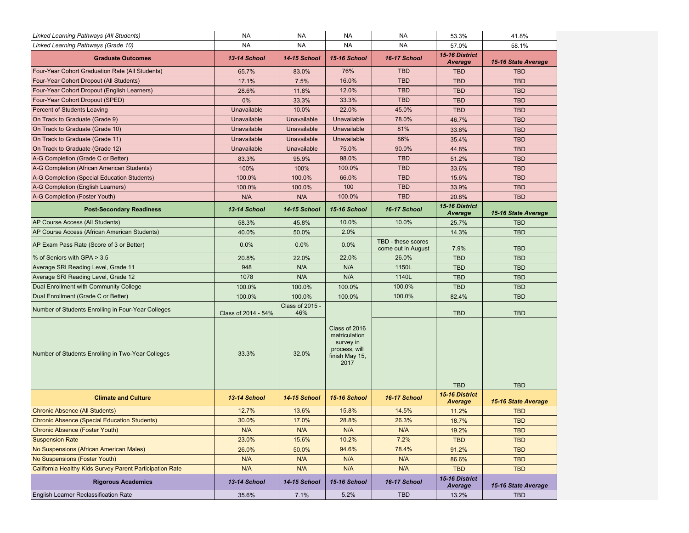| Linked Learning Pathways (All Students)                  | <b>NA</b>           | <b>NA</b>              | <b>NA</b>                                                                              | NA                                       | 53.3%                     | 41.8%               |
|----------------------------------------------------------|---------------------|------------------------|----------------------------------------------------------------------------------------|------------------------------------------|---------------------------|---------------------|
| Linked Learning Pathways (Grade 10)                      | NA                  | <b>NA</b>              | <b>NA</b>                                                                              | <b>NA</b>                                | 57.0%                     | 58.1%               |
| <b>Graduate Outcomes</b>                                 | 13-14 School        | 14-15 School           | 15-16 School                                                                           | 16-17 School                             | 15-16 District<br>Average | 15-16 State Average |
| Four-Year Cohort Graduation Rate (All Students)          | 65.7%               | 83.0%                  | 76%                                                                                    | <b>TBD</b>                               | <b>TBD</b>                | <b>TBD</b>          |
| Four-Year Cohort Dropout (All Students)                  | 17.1%               | 7.5%                   | 16.0%                                                                                  | <b>TBD</b>                               | <b>TBD</b>                | <b>TBD</b>          |
| Four-Year Cohort Dropout (English Learners)              | 28.6%               | 11.8%                  | 12.0%                                                                                  | <b>TBD</b>                               | <b>TBD</b>                | <b>TBD</b>          |
| Four-Year Cohort Dropout (SPED)                          | 0%                  | 33.3%                  | 33.3%                                                                                  | <b>TBD</b>                               | <b>TBD</b>                | <b>TBD</b>          |
| Percent of Students Leaving                              | Unavailable         | 10.0%                  | 22.0%                                                                                  | 45.0%                                    | <b>TBD</b>                | <b>TBD</b>          |
| On Track to Graduate (Grade 9)                           | Unavailable         | Unavailable            | Unavailable                                                                            | 78.0%                                    | 46.7%                     | <b>TBD</b>          |
| On Track to Graduate (Grade 10)                          | Unavailable         | Unavailable            | Unavailable                                                                            | 81%                                      | 33.6%                     | <b>TBD</b>          |
| On Track to Graduate (Grade 11)                          | Unavailable         | Unavailable            | Unavailable                                                                            | 86%                                      | 35.4%                     | <b>TBD</b>          |
| On Track to Graduate (Grade 12)                          | Unavailable         | Unavailable            | 75.0%                                                                                  | 90.0%                                    | 44.8%                     | <b>TBD</b>          |
| A-G Completion (Grade C or Better)                       | 83.3%               | 95.9%                  | 98.0%                                                                                  | <b>TBD</b>                               | 51.2%                     | <b>TBD</b>          |
| A-G Completion (African American Students)               | 100%                | 100%                   | 100.0%                                                                                 | <b>TBD</b>                               | 33.6%                     | <b>TBD</b>          |
| A-G Completion (Special Education Students)              | 100.0%              | 100.0%                 | 66.0%                                                                                  | <b>TBD</b>                               | 15.6%                     | <b>TBD</b>          |
| A-G Completion (English Learners)                        | 100.0%              | 100.0%                 | 100                                                                                    | <b>TBD</b>                               | 33.9%                     | <b>TBD</b>          |
| A-G Completion (Foster Youth)                            | N/A                 | N/A                    | 100.0%                                                                                 | <b>TBD</b>                               | 20.8%                     | <b>TBD</b>          |
| <b>Post-Secondary Readiness</b>                          | 13-14 School        | 14-15 School           | 15-16 School                                                                           | 16-17 School                             | 15-16 District<br>Average | 15-16 State Average |
| AP Course Access (All Students)                          | 58.3%               | 45.8%                  | 10.0%                                                                                  | 10.0%                                    | 25.7%                     | <b>TBD</b>          |
| AP Course Access (African American Students)             | 40.0%               | 50.0%                  | 2.0%                                                                                   |                                          | 14.3%                     | <b>TBD</b>          |
| AP Exam Pass Rate (Score of 3 or Better)                 | 0.0%                | 0.0%                   | 0.0%                                                                                   | TBD - these scores<br>come out in August | 7.9%                      | <b>TBD</b>          |
| % of Seniors with GPA > 3.5                              | 20.8%               | 22.0%                  | 22.0%                                                                                  | 26.0%                                    | <b>TBD</b>                | <b>TBD</b>          |
| Average SRI Reading Level, Grade 11                      | 948                 | N/A                    | N/A                                                                                    | 1150L                                    | <b>TBD</b>                | <b>TBD</b>          |
| Average SRI Reading Level, Grade 12                      | 1078                | N/A                    | N/A                                                                                    | 1140L                                    | <b>TBD</b>                | <b>TBD</b>          |
| Dual Enrollment with Community College                   | 100.0%              | 100.0%                 | 100.0%                                                                                 | 100.0%                                   | <b>TBD</b>                | <b>TBD</b>          |
| Dual Enrollment (Grade C or Better)                      | 100.0%              | 100.0%                 | 100.0%                                                                                 | 100.0%                                   | 82.4%                     | <b>TBD</b>          |
| Number of Students Enrolling in Four-Year Colleges       | Class of 2014 - 54% | Class of 2015 -<br>46% |                                                                                        |                                          | <b>TBD</b>                | <b>TBD</b>          |
| Number of Students Enrolling in Two-Year Colleges        | 33.3%               | 32.0%                  | Class of 2016<br>matriculation<br>survey in<br>process, will<br>finish May 15,<br>2017 |                                          | <b>TBD</b>                | <b>TBD</b>          |
| <b>Climate and Culture</b>                               | 13-14 School        | 14-15 School           | 15-16 School                                                                           | 16-17 School                             | 15-16 District<br>Average | 15-16 State Average |
| <b>Chronic Absence (All Students)</b>                    | 12.7%               | 13.6%                  | 15.8%                                                                                  | 14.5%                                    | 11.2%                     | <b>TBD</b>          |
| Chronic Absence (Special Education Students)             | 30.0%               | 17.0%                  | 28.8%                                                                                  | 26.3%                                    | 18.7%                     | TBD                 |
| <b>Chronic Absence (Foster Youth)</b>                    | N/A                 | N/A                    | N/A                                                                                    | N/A                                      | 19.2%                     | <b>TBD</b>          |
| <b>Suspension Rate</b>                                   | 23.0%               | 15.6%                  | 10.2%                                                                                  | 7.2%                                     | <b>TBD</b>                | <b>TBD</b>          |
| No Suspensions (African American Males)                  | 26.0%               | 50.0%                  | 94.6%                                                                                  | 78.4%                                    | 91.2%                     | <b>TBD</b>          |
| No Suspensions (Foster Youth)                            | N/A                 | N/A                    | N/A                                                                                    | N/A                                      | 86.6%                     | <b>TBD</b>          |
| California Healthy Kids Survey Parent Participation Rate | N/A                 | N/A                    | N/A                                                                                    | N/A                                      | <b>TBD</b>                | <b>TBD</b>          |
| <b>Rigorous Academics</b>                                | 13-14 School        | 14-15 School           | 15-16 School                                                                           | 16-17 School                             | 15-16 District<br>Average | 15-16 State Average |
| English Learner Reclassification Rate                    | 35.6%               | 7.1%                   | 5.2%                                                                                   | <b>TBD</b>                               | 13.2%                     | <b>TBD</b>          |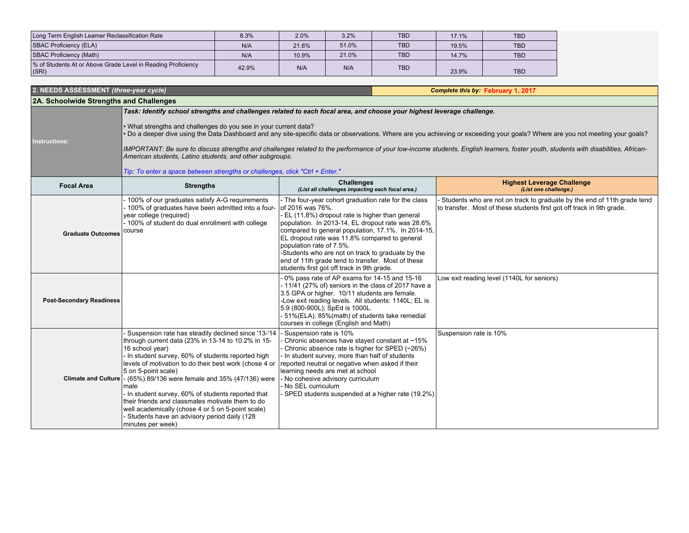| Long Term English Learner Reclassification Rate                       | 8.3%  | 2.0%  | 3.2%  | <b>TBD</b> | 17.1% | <b>TBD</b> |
|-----------------------------------------------------------------------|-------|-------|-------|------------|-------|------------|
| <b>SBAC Proficiency (ELA)</b>                                         | N/A   | 21.6% | 51.0% | <b>TBD</b> | 19.5% | <b>TBD</b> |
| <b>SBAC Proficiency (Math)</b>                                        | N/A   | 10.9% | 21.0% | <b>TBD</b> | 14.7% | <b>TBD</b> |
| % of Students At or Above Grade Level in Reading Proficiency<br>(SRI) | 42.9% | N/A   | N/A   | <b>TBD</b> | 23.9% | <b>TBD</b> |

| 2. NEEDS ASSESSMENT (three-year cycle)  |                                                                                                                                                                                                                                                                                                                                                                                                                                                                                                                                                                                            |                                                                                                                                                                                                                                                                                                                                                                                                                                                                              | Complete this by: February 1, 2017                                                                                                                                                                                                                                                                                                                                    |  |  |  |
|-----------------------------------------|--------------------------------------------------------------------------------------------------------------------------------------------------------------------------------------------------------------------------------------------------------------------------------------------------------------------------------------------------------------------------------------------------------------------------------------------------------------------------------------------------------------------------------------------------------------------------------------------|------------------------------------------------------------------------------------------------------------------------------------------------------------------------------------------------------------------------------------------------------------------------------------------------------------------------------------------------------------------------------------------------------------------------------------------------------------------------------|-----------------------------------------------------------------------------------------------------------------------------------------------------------------------------------------------------------------------------------------------------------------------------------------------------------------------------------------------------------------------|--|--|--|
| 2A. Schoolwide Strengths and Challenges |                                                                                                                                                                                                                                                                                                                                                                                                                                                                                                                                                                                            |                                                                                                                                                                                                                                                                                                                                                                                                                                                                              |                                                                                                                                                                                                                                                                                                                                                                       |  |  |  |
| <b>Instructions:</b>                    | Task: Identify school strengths and challenges related to each focal area, and choose your highest leverage challenge.<br>. What strengths and challenges do you see in your current data?<br>American students, Latino students, and other subgroups.<br>Tip: To enter a space between strengths or challenges, click "Ctrl + Enter."                                                                                                                                                                                                                                                     |                                                                                                                                                                                                                                                                                                                                                                                                                                                                              | . Do a deeper dive using the Data Dashboard and any site-specific data or observations. Where are you achieving or exceeding your goals? Where are you not meeting your goals?<br>IMPORTANT: Be sure to discuss strengths and challenges related to the performance of your low-income students, English learners, foster youth, students with disabilities, African- |  |  |  |
| <b>Focal Area</b>                       | <b>Strengths</b>                                                                                                                                                                                                                                                                                                                                                                                                                                                                                                                                                                           | <b>Challenges</b><br>(List all challenges impacting each focal area.)                                                                                                                                                                                                                                                                                                                                                                                                        | <b>Highest Leverage Challenge</b><br>(List one challenge.)                                                                                                                                                                                                                                                                                                            |  |  |  |
| <b>Graduate Outcomes</b>                | 100% of our graduates satisfy A-G requirements<br>- 100% of graduates have been admitted into a four-<br>year college (required)<br>- 100% of student do dual enrollment with college<br>course                                                                                                                                                                                                                                                                                                                                                                                            | - The four-year cohort graduation rate for the class<br>of 2016 was 76%.<br>- EL (11.8%) dropout rate is higher than general<br>population. In 2013-14, EL dropout rate was 28.6%<br>compared to general population, 17.1%. In 2014-15,<br>EL dropout rate was 11.8% compared to general<br>population rate of 7.5%.<br>-Students who are not on track to graduate by the<br>end of 11th grade tend to transfer. Most of these<br>students first got off track in 9th grade. | Students who are not on track to graduate by the end of 11th grade tend<br>to transfer. Most of these students first got off track in 9th grade.                                                                                                                                                                                                                      |  |  |  |
| <b>Post-Secondary Readiness</b>         |                                                                                                                                                                                                                                                                                                                                                                                                                                                                                                                                                                                            | 0% pass rate of AP exams for 14-15 and 15-16<br>- 11/41 (27% of) seniors in the class of 2017 have a<br>3.5 GPA or higher. 10/11 students are female.<br>-Low exit reading levels. All students: 1140L; EL is<br>5.9 (800-900L); SpEd is 1000L.<br>- 51%(ELA), 85%(math) of students take remedial<br>courses in college (English and Math)                                                                                                                                  | Low exit reading level (1140L for seniors)                                                                                                                                                                                                                                                                                                                            |  |  |  |
|                                         | Suspension rate has steadily declined since '13-'14<br>through current data (23% in 13-14 to 10.2% in 15-<br>16 school year)<br>- In student survey, 60% of students reported high<br>levels of motivation to do their best work (chose 4 or<br>5 on 5-point scale)<br>Climate and Culture   - (65%) 89/136 were female and 35% (47/136) were<br>male<br>- In student survey, 60% of students reported that<br>their friends and classmates motivate them to do<br>well academically (chose 4 or 5 on 5-point scale)<br>- Students have an advisory period daily (128<br>minutes per week) | - Suspension rate is 10%<br>Chronic absences have stayed constant at ~15%<br>Chronic absence rate is higher for SPED (~26%)<br>In student survey, more than half of students<br>reported neutral or negative when asked if their<br>learning needs are met at school<br>- No cohesive advisory curriculum<br>No SEL curriculum<br>SPED students suspended at a higher rate (19.2%)                                                                                           | Suspension rate is 10%                                                                                                                                                                                                                                                                                                                                                |  |  |  |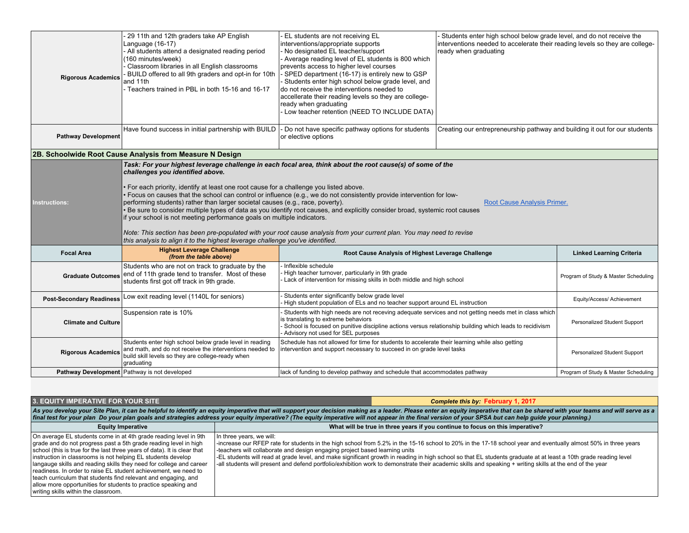| <b>Rigorous Academics</b>       | - 29 11th and 12th graders take AP English<br>Language (16-17)<br>- All students attend a designated reading period<br>(160 minutes/week)<br>- Classroom libraries in all English classrooms<br>- BUILD offered to all 9th graders and opt-in for 10th<br>and 11th<br>- Teachers trained in PBL in both 15-16 and 16-17                                                                                                                                                                                                                                                                                                                                                                                                                                                                                                                                                                                    | Students enter high school below grade level, and do not receive the<br>EL students are not receiving EL<br>interventions/appropriate supports<br>interventions needed to accelerate their reading levels so they are college-<br>- No designated EL teacher/support<br>ready when graduating<br>Average reading level of EL students is 800 which<br>prevents access to higher level courses<br>- SPED department (16-17) is entirely new to GSP<br>Students enter high school below grade level, and<br>do not receive the interventions needed to<br>accellerate their reading levels so they are college-<br>ready when graduating<br>Low teacher retention (NEED TO INCLUDE DATA) |                                      |  |  |  |  |  |
|---------------------------------|------------------------------------------------------------------------------------------------------------------------------------------------------------------------------------------------------------------------------------------------------------------------------------------------------------------------------------------------------------------------------------------------------------------------------------------------------------------------------------------------------------------------------------------------------------------------------------------------------------------------------------------------------------------------------------------------------------------------------------------------------------------------------------------------------------------------------------------------------------------------------------------------------------|----------------------------------------------------------------------------------------------------------------------------------------------------------------------------------------------------------------------------------------------------------------------------------------------------------------------------------------------------------------------------------------------------------------------------------------------------------------------------------------------------------------------------------------------------------------------------------------------------------------------------------------------------------------------------------------|--------------------------------------|--|--|--|--|--|
| <b>Pathway Development</b>      | Have found success in initial partnership with BUILD                                                                                                                                                                                                                                                                                                                                                                                                                                                                                                                                                                                                                                                                                                                                                                                                                                                       | Creating our entrepreneurship pathway and building it out for our students                                                                                                                                                                                                                                                                                                                                                                                                                                                                                                                                                                                                             |                                      |  |  |  |  |  |
|                                 | 2B. Schoolwide Root Cause Analysis from Measure N Design                                                                                                                                                                                                                                                                                                                                                                                                                                                                                                                                                                                                                                                                                                                                                                                                                                                   |                                                                                                                                                                                                                                                                                                                                                                                                                                                                                                                                                                                                                                                                                        |                                      |  |  |  |  |  |
| Instructions:                   | Task: For your highest leverage challenge in each focal area, think about the root cause(s) of some of the<br>challenges you identified above.<br>• For each priority, identify at least one root cause for a challenge you listed above.<br>• Focus on causes that the school can control or influence (e.g., we do not consistently provide intervention for low-<br>performing students) rather than larger societal causes (e.g., race, poverty).<br>Root Cause Analysis Primer.<br>Be sure to consider multiple types of data as you identify root causes, and explicitly consider broad, systemic root causes<br>if your school is not meeting performance goals on multiple indicators.<br>Note: This section has been pre-populated with your root cause analysis from your current plan. You may need to revise<br>this analysis to align it to the highest leverage challenge you've identified. |                                                                                                                                                                                                                                                                                                                                                                                                                                                                                                                                                                                                                                                                                        |                                      |  |  |  |  |  |
| <b>Focal Area</b>               | <b>Highest Leverage Challenge</b><br>(from the table above)                                                                                                                                                                                                                                                                                                                                                                                                                                                                                                                                                                                                                                                                                                                                                                                                                                                | Root Cause Analysis of Highest Leverage Challenge                                                                                                                                                                                                                                                                                                                                                                                                                                                                                                                                                                                                                                      | <b>Linked Learning Criteria</b>      |  |  |  |  |  |
| <b>Graduate Outcomes</b>        | Students who are not on track to graduate by the<br>end of 11th grade tend to transfer. Most of these<br>students first got off track in 9th grade.                                                                                                                                                                                                                                                                                                                                                                                                                                                                                                                                                                                                                                                                                                                                                        | Inflexible schedule<br>High teacher turnover, particularly in 9th grade<br>Lack of intervention for missing skills in both middle and high school                                                                                                                                                                                                                                                                                                                                                                                                                                                                                                                                      | Program of Study & Master Scheduling |  |  |  |  |  |
| <b>Post-Secondary Readiness</b> | Low exit reading level (1140L for seniors)                                                                                                                                                                                                                                                                                                                                                                                                                                                                                                                                                                                                                                                                                                                                                                                                                                                                 | Students enter significantly below grade level<br>High student population of ELs and no teacher support around EL instruction                                                                                                                                                                                                                                                                                                                                                                                                                                                                                                                                                          | Equity/Access/ Achievement           |  |  |  |  |  |
| <b>Climate and Culture</b>      | Suspension rate is 10%                                                                                                                                                                                                                                                                                                                                                                                                                                                                                                                                                                                                                                                                                                                                                                                                                                                                                     | Students with high needs are not receving adequate services and not getting needs met in class which<br>is translating to extreme behaviors<br>School is focused on punitive discipline actions versus relationship building which leads to recidivism<br>- Advisory not used for SEL purposes                                                                                                                                                                                                                                                                                                                                                                                         | Personalized Student Support         |  |  |  |  |  |
| <b>Rigorous Academics</b>       | Students enter high school below grade level in reading<br>and math, and do not receive the interventions needed to<br>build skill levels so they are college-ready when<br>graduating                                                                                                                                                                                                                                                                                                                                                                                                                                                                                                                                                                                                                                                                                                                     | Schedule has not allowed for time for students to accelerate their learning while also getting<br>intervention and support necessary to succeed in on grade level tasks<br>Personalized Student Support                                                                                                                                                                                                                                                                                                                                                                                                                                                                                |                                      |  |  |  |  |  |
|                                 | Pathway Development Pathway is not developed                                                                                                                                                                                                                                                                                                                                                                                                                                                                                                                                                                                                                                                                                                                                                                                                                                                               | lack of funding to develop pathway and schedule that accommodates pathway<br>Program of Study & Master Scheduling                                                                                                                                                                                                                                                                                                                                                                                                                                                                                                                                                                      |                                      |  |  |  |  |  |

| As you develop your Site Plan, it can be helpful to identify an equity imperative that will support your decision making as a leader. Please enter an equity imperative that can be share an equity imperative that can be sha<br>final test for your plan Do your plan goals and strategies address your equity imperative? (The equity imperative will not appear in the final version of your SPSA but can help gui |              |
|------------------------------------------------------------------------------------------------------------------------------------------------------------------------------------------------------------------------------------------------------------------------------------------------------------------------------------------------------------------------------------------------------------------------|--------------|
|                                                                                                                                                                                                                                                                                                                                                                                                                        | $\mathbf{v}$ |

As you develop your Site Plan, it can be helpful to identify an equity imperative that will support your decision making as a leader. Please enter an equity imperative that can be shared with your teams and will serve as a

| <b>Equity Imperative</b>                                                 | What will be true in three years if you continue to focus on this imperative?                                                                                    |
|--------------------------------------------------------------------------|------------------------------------------------------------------------------------------------------------------------------------------------------------------|
| On average EL students come in at 4th grade reading level in 9th         | In three years, we will:                                                                                                                                         |
| grade and do not progress past a 5th grade reading level in high         | -increase our RFEP rate for students in the high school from 5.2% in the 15-16 school to 20% in the 17-18 school year and eventually almost 50% in three years   |
| school (this is true for the last three years of data). It is clear that | -teachers will collaborate and design engaging project based learning units                                                                                      |
| instruction in classrooms is not helping EL students develop             | -EL students will read at grade level, and make significant growth in reading in high school so that EL students graduate at at least a 10th grade reading level |
| langauge skills and reading skills they need for college and career      | -all students will present and defend portfolio/exhibition work to demonstrate their academic skills and speaking + writing skills at the end of the year        |
| readiness. In order to raise EL student achievement, we need to          |                                                                                                                                                                  |
| teach curriculum that students find relevant and engaging, and           |                                                                                                                                                                  |
| allow more opportunities for students to practice speaking and           |                                                                                                                                                                  |
| writing skills within the classroom.                                     |                                                                                                                                                                  |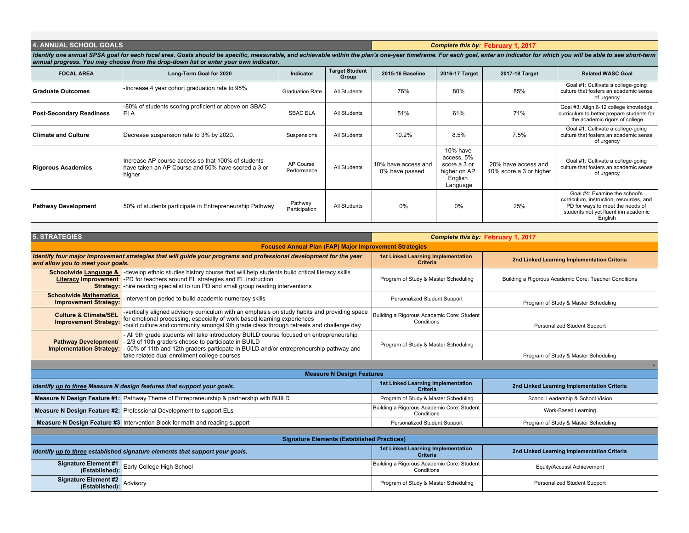**4. ANNUAL SCHOOL GOALS** *Complete this by:* **February 1, 2017**

ldentify one annual SPSA goal for each focal area. Goals should be specific, measurable, and achievable within the plan's one-year timeframe. For each goal, enter an indicator for which you will be able to see short-term a

| <b>FOCAL AREA</b>               | Long-Term Goal for 2020                                                                                               | Indicator                | <b>Target Student</b><br>Group | 2015-16 Baseline                       | 2016-17 Target                                                                | 2017-18 Target                                 | <b>Related WASC Goal</b>                                                                                                                                        |
|---------------------------------|-----------------------------------------------------------------------------------------------------------------------|--------------------------|--------------------------------|----------------------------------------|-------------------------------------------------------------------------------|------------------------------------------------|-----------------------------------------------------------------------------------------------------------------------------------------------------------------|
| Graduate Outcomes               | -Increase 4 year cohort graduation rate to 95%                                                                        | <b>Graduation Rate</b>   | All Students                   | 76%                                    | 80%                                                                           | 85%                                            | Goal #1: Cultivate a college-going<br>culture that fosters an academic sense<br>of urgency                                                                      |
| <b>Post-Secondary Readiness</b> | -80% of students scoring proficient or above on SBAC<br><b>ELA</b>                                                    | <b>SBAC ELA</b>          | All Students                   | 51%                                    | 61%                                                                           | 71%                                            | Goal #3: Align 6-12 college knowledge<br>curriculum to better prepare students for<br>the academic rigors of college                                            |
| <b>Climate and Culture</b>      | Decrease suspension rate to 3% by 2020.                                                                               | Suspensions              | All Students                   | 10.2%                                  | 8.5%                                                                          | 7.5%                                           | Goal #1: Cultivate a college-going<br>culture that fosters an academic sense<br>of urgency                                                                      |
| Rigorous Academics              | Increase AP course access so that 100% of students<br>Thave taken an AP Course and 50% have scored a 3 or<br>  higher | AP Course<br>Performance | All Students                   | 10% have access and<br>0% have passed. | 10% have<br>access, 5%<br>score a 3 or<br>higher on AP<br>English<br>Language | 20% have access and<br>10% score a 3 or higher | Goal #1: Cultivate a college-going<br>culture that fosters an academic sense<br>of urgency                                                                      |
| <b>Pathway Development</b>      | 50% of students participate in Entrepreneurship Pathway                                                               | Pathway<br>Participation | All Students                   | 0%                                     | 0%                                                                            | 25%                                            | Goal #4: Examine the school's<br>curriculum, instruction, resources, and<br>PD for ways to meet the needs of<br>students not yet fluent inn academic<br>English |

| <b>5. STRATEGIES</b>                                                               |                                                                                                                                                                                                                                                                                      | Complete this by: February 1, 2017                       |                                                       |  |  |  |  |  |  |
|------------------------------------------------------------------------------------|--------------------------------------------------------------------------------------------------------------------------------------------------------------------------------------------------------------------------------------------------------------------------------------|----------------------------------------------------------|-------------------------------------------------------|--|--|--|--|--|--|
|                                                                                    | <b>Focused Annual Plan (FAP) Major Improvement Strategies</b>                                                                                                                                                                                                                        |                                                          |                                                       |  |  |  |  |  |  |
| and allow you to meet your goals.                                                  | Identify four major improvement strategies that will guide your programs and professional development for the year                                                                                                                                                                   | <b>1st Linked Learning Implementation</b><br>Criteria    | 2nd Linked Learning Implementation Criteria           |  |  |  |  |  |  |
| Schoolwide Language &<br><b>Literacy Improvement</b><br>Strategy:                  | -develop ethnic studies history course that will help students build critical literacy skills<br>-PD for teachers around EL strategies and EL instruction<br>-hire reading specialist to run PD and small group reading interventions                                                | Program of Study & Master Scheduling                     | Building a Rigorous Academic Core: Teacher Conditions |  |  |  |  |  |  |
| <b>Schoolwide Mathematics</b><br><b>Improvement Strategy:</b>                      | intervention period to build academic numeracy skills                                                                                                                                                                                                                                | Personalized Student Support                             | Program of Study & Master Scheduling                  |  |  |  |  |  |  |
| <b>Culture &amp; Climate/SEL</b><br><b>Improvement Strategy:</b>                   | -vertically aligned advisory curriculum with an emphasis on study habits and providing space<br>for emotional processing, especially of work based learning experiences<br>-build culture and community amongst 9th grade class through retreats and challenge day                   | Building a Rigorous Academic Core: Student<br>Conditions | Personalized Student Support                          |  |  |  |  |  |  |
| Pathway Development/<br><b>Implementation Strategy:</b>                            | All 9th grade students will take introductory BUILD course focused on entrepreneurship<br>2/3 of 10th graders choose to participate in BUILD<br>50% of 11th and 12th graders particpate in BUILD and/or entrepreneurship pathway and<br>take related dual enrollment college courses | Program of Study & Master Scheduling                     | Program of Study & Master Scheduling                  |  |  |  |  |  |  |
|                                                                                    |                                                                                                                                                                                                                                                                                      |                                                          |                                                       |  |  |  |  |  |  |
|                                                                                    | <b>Measure N Design Features</b>                                                                                                                                                                                                                                                     |                                                          |                                                       |  |  |  |  |  |  |
|                                                                                    | Identify up to three Measure N design features that support your goals.                                                                                                                                                                                                              | 1st Linked Learning Implementation<br>Criteria           | 2nd Linked Learning Implementation Criteria           |  |  |  |  |  |  |
|                                                                                    | Measure N Design Feature #1: Pathway Theme of Entrepreneurship & partnership with BUILD                                                                                                                                                                                              | Program of Study & Master Scheduling                     | School Leadership & School Vision                     |  |  |  |  |  |  |
|                                                                                    | <b>Measure N Design Feature #2: Professional Development to support ELs</b>                                                                                                                                                                                                          | Building a Rigorous Academic Core: Student<br>Conditions | Work-Based Learning                                   |  |  |  |  |  |  |
| <b>Measure N Design Feature #3</b> Intervention Block for math and reading support |                                                                                                                                                                                                                                                                                      | Personalized Student Support                             | Program of Study & Master Scheduling                  |  |  |  |  |  |  |
|                                                                                    |                                                                                                                                                                                                                                                                                      |                                                          |                                                       |  |  |  |  |  |  |
| <b>Signature Elements (Established Practices)</b>                                  |                                                                                                                                                                                                                                                                                      |                                                          |                                                       |  |  |  |  |  |  |
|                                                                                    | Identify up to three established signature elements that support your goals.                                                                                                                                                                                                         | 1st Linked Learning Implementation<br><b>Criteria</b>    | 2nd Linked Learning Implementation Criteria           |  |  |  |  |  |  |
| <b>Signature Element #1</b><br>(Established):                                      | Early College High School                                                                                                                                                                                                                                                            | Building a Rigorous Academic Core: Student<br>Conditions | Equity/Access/ Achievement                            |  |  |  |  |  |  |
| <b>Signature Element #2</b><br>(Established):                                      | Advisory                                                                                                                                                                                                                                                                             | Program of Study & Master Scheduling                     | <b>Personalized Student Support</b>                   |  |  |  |  |  |  |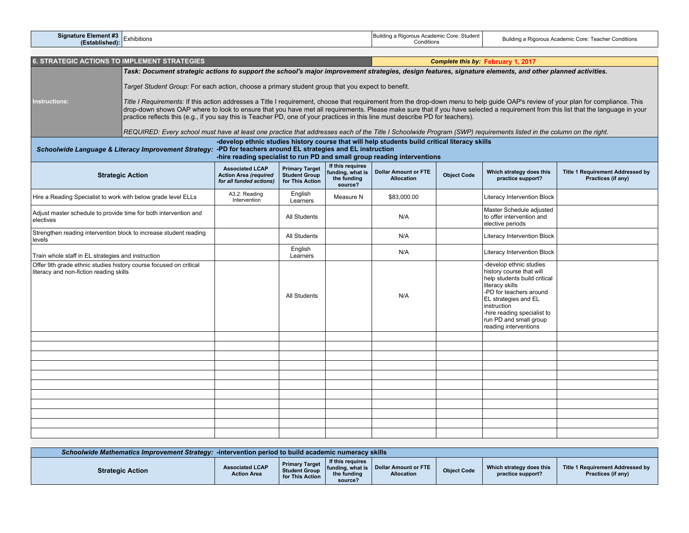| Signature Element #3<br>. Exhibitions<br>(Established): | a Rigorous Academic Core: Student i<br>ı Builc<br>iina a<br><b>Condition.</b> | Building a Rigorous Academic Core: Teacher Conditions |
|---------------------------------------------------------|-------------------------------------------------------------------------------|-------------------------------------------------------|
|---------------------------------------------------------|-------------------------------------------------------------------------------|-------------------------------------------------------|

| <b>6. STRATEGIC ACTIONS TO IMPLEMENT STRATEGIES</b>                                                          | Complete this by: February 1, 2017                                                                                                                                                                                                                                                                                                                                                                                                                                                                         |                                                                                   |                                                                  |                                                                |                                                  |                    |                                                                                                                                                                                                                                                            |                                                               |  |  |  |
|--------------------------------------------------------------------------------------------------------------|------------------------------------------------------------------------------------------------------------------------------------------------------------------------------------------------------------------------------------------------------------------------------------------------------------------------------------------------------------------------------------------------------------------------------------------------------------------------------------------------------------|-----------------------------------------------------------------------------------|------------------------------------------------------------------|----------------------------------------------------------------|--------------------------------------------------|--------------------|------------------------------------------------------------------------------------------------------------------------------------------------------------------------------------------------------------------------------------------------------------|---------------------------------------------------------------|--|--|--|
|                                                                                                              | Task: Document strategic actions to support the school's major improvement strategies, design features, signature elements, and other planned activities.                                                                                                                                                                                                                                                                                                                                                  |                                                                                   |                                                                  |                                                                |                                                  |                    |                                                                                                                                                                                                                                                            |                                                               |  |  |  |
|                                                                                                              | Target Student Group: For each action, choose a primary student group that you expect to benefit.                                                                                                                                                                                                                                                                                                                                                                                                          |                                                                                   |                                                                  |                                                                |                                                  |                    |                                                                                                                                                                                                                                                            |                                                               |  |  |  |
| <b>Instructions:</b>                                                                                         | Title I Requirements: If this action addresses a Title I requirement, choose that requirement from the drop-down menu to help guide OAP's review of your plan for compliance. This<br>drop-down shows OAP where to look to ensure that you have met all requirements. Please make sure that if you have selected a requirement from this list that the language in your<br>practice reflects this (e.g., if you say this is Teacher PD, one of your practices in this line must describe PD for teachers). |                                                                                   |                                                                  |                                                                |                                                  |                    |                                                                                                                                                                                                                                                            |                                                               |  |  |  |
|                                                                                                              | REQUIRED: Every school must have at least one practice that addresses each of the Title I Schoolwide Program (SWP) requirements listed in the column on the right.                                                                                                                                                                                                                                                                                                                                         |                                                                                   |                                                                  |                                                                |                                                  |                    |                                                                                                                                                                                                                                                            |                                                               |  |  |  |
|                                                                                                              | -develop ethnic studies history course that will help students build critical literacy skills<br>Schoolwide Language & Literacy Improvement Strategy: -PD for teachers around EL strategies and EL instruction<br>-hire reading specialist to run PD and small group reading interventions                                                                                                                                                                                                                 |                                                                                   |                                                                  |                                                                |                                                  |                    |                                                                                                                                                                                                                                                            |                                                               |  |  |  |
|                                                                                                              | <b>Strategic Action</b>                                                                                                                                                                                                                                                                                                                                                                                                                                                                                    | <b>Associated LCAP</b><br><b>Action Area (required</b><br>for all funded actions) | <b>Primary Target</b><br><b>Student Group</b><br>for This Action | If this requires<br>funding, what is<br>the funding<br>source? | <b>Dollar Amount or FTE</b><br><b>Allocation</b> | <b>Object Code</b> | Which strategy does this<br>practice support?                                                                                                                                                                                                              | <b>Title 1 Requirement Addressed by</b><br>Practices (if any) |  |  |  |
| Hire a Reading Specialist to work with below grade level ELLs                                                |                                                                                                                                                                                                                                                                                                                                                                                                                                                                                                            | A3.2: Reading<br>Intervention                                                     | English<br>Learners                                              | Measure N                                                      | \$83,000.00                                      |                    | Literacy Intervention Block                                                                                                                                                                                                                                |                                                               |  |  |  |
| Adjust master schedule to provide time for both intervention and<br>electives                                |                                                                                                                                                                                                                                                                                                                                                                                                                                                                                                            |                                                                                   | All Students                                                     |                                                                | N/A                                              |                    | Master Schedule adjusted<br>to offer intervention and<br>elective periods                                                                                                                                                                                  |                                                               |  |  |  |
| Strengthen reading intervention block to increase student reading<br>levels                                  |                                                                                                                                                                                                                                                                                                                                                                                                                                                                                                            |                                                                                   | All Students                                                     |                                                                | N/A                                              |                    | Literacy Intervention Block                                                                                                                                                                                                                                |                                                               |  |  |  |
| Train whole staff in EL strategies and instruction                                                           |                                                                                                                                                                                                                                                                                                                                                                                                                                                                                                            |                                                                                   | English<br>Learners                                              |                                                                | N/A                                              |                    | Literacy Intervention Block                                                                                                                                                                                                                                |                                                               |  |  |  |
| Offer 9th grade ethnic studies history course focused on critical<br>literacy and non-fiction reading skills |                                                                                                                                                                                                                                                                                                                                                                                                                                                                                                            |                                                                                   | All Students                                                     |                                                                | N/A                                              |                    | -develop ethnic studies<br>history course that will<br>help students build critical<br>literacy skills<br>-PD for teachers around<br>EL strategies and EL<br>instruction<br>-hire reading specialist to<br>run PD and small group<br>reading interventions |                                                               |  |  |  |
|                                                                                                              |                                                                                                                                                                                                                                                                                                                                                                                                                                                                                                            |                                                                                   |                                                                  |                                                                |                                                  |                    |                                                                                                                                                                                                                                                            |                                                               |  |  |  |
|                                                                                                              |                                                                                                                                                                                                                                                                                                                                                                                                                                                                                                            |                                                                                   |                                                                  |                                                                |                                                  |                    |                                                                                                                                                                                                                                                            |                                                               |  |  |  |
|                                                                                                              |                                                                                                                                                                                                                                                                                                                                                                                                                                                                                                            |                                                                                   |                                                                  |                                                                |                                                  |                    |                                                                                                                                                                                                                                                            |                                                               |  |  |  |
|                                                                                                              |                                                                                                                                                                                                                                                                                                                                                                                                                                                                                                            |                                                                                   |                                                                  |                                                                |                                                  |                    |                                                                                                                                                                                                                                                            |                                                               |  |  |  |
|                                                                                                              |                                                                                                                                                                                                                                                                                                                                                                                                                                                                                                            |                                                                                   |                                                                  |                                                                |                                                  |                    |                                                                                                                                                                                                                                                            |                                                               |  |  |  |
|                                                                                                              |                                                                                                                                                                                                                                                                                                                                                                                                                                                                                                            |                                                                                   |                                                                  |                                                                |                                                  |                    |                                                                                                                                                                                                                                                            |                                                               |  |  |  |
|                                                                                                              |                                                                                                                                                                                                                                                                                                                                                                                                                                                                                                            |                                                                                   |                                                                  |                                                                |                                                  |                    |                                                                                                                                                                                                                                                            |                                                               |  |  |  |
|                                                                                                              |                                                                                                                                                                                                                                                                                                                                                                                                                                                                                                            |                                                                                   |                                                                  |                                                                |                                                  |                    |                                                                                                                                                                                                                                                            |                                                               |  |  |  |
|                                                                                                              |                                                                                                                                                                                                                                                                                                                                                                                                                                                                                                            |                                                                                   |                                                                  |                                                                |                                                  |                    |                                                                                                                                                                                                                                                            |                                                               |  |  |  |

| Schoolwide Mathematics Improvement Strategy: -intervention period to build academic numeracy skills |                                              |                                                                  |                                            |                                                                            |                    |                                               |                                                        |  |
|-----------------------------------------------------------------------------------------------------|----------------------------------------------|------------------------------------------------------------------|--------------------------------------------|----------------------------------------------------------------------------|--------------------|-----------------------------------------------|--------------------------------------------------------|--|
| <b>Strategic Action</b>                                                                             | <b>Associated LCAP</b><br><b>Action Area</b> | <b>Primary Target</b><br><b>Student Group</b><br>for This Action | If this requires<br>the funding<br>source? | $\vert$ funding, what is $\vert$ Dollar Amount or FTE<br><b>Allocation</b> | <b>Object Code</b> | Which strategy does this<br>practice support? | Title 1 Requirement Addressed by<br>Practices (if any) |  |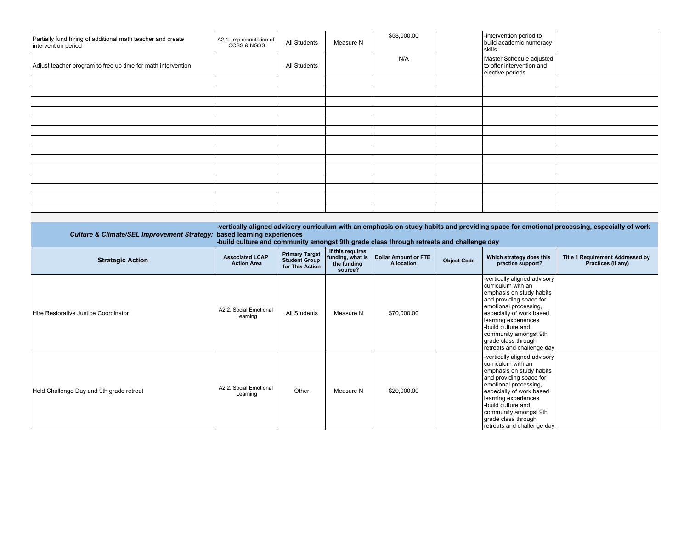| Partially fund hiring of additional math teacher and create<br>intervention period | A2.1: Implementation of<br>CCSS & NGSS | All Students | Measure N | \$58,000.00 | -intervention period to<br>build academic numeracy<br>skills              |  |
|------------------------------------------------------------------------------------|----------------------------------------|--------------|-----------|-------------|---------------------------------------------------------------------------|--|
| Adjust teacher program to free up time for math intervention                       |                                        | All Students |           | N/A         | Master Schedule adjusted<br>to offer intervention and<br>elective periods |  |
|                                                                                    |                                        |              |           |             |                                                                           |  |
|                                                                                    |                                        |              |           |             |                                                                           |  |
|                                                                                    |                                        |              |           |             |                                                                           |  |
|                                                                                    |                                        |              |           |             |                                                                           |  |
|                                                                                    |                                        |              |           |             |                                                                           |  |
|                                                                                    |                                        |              |           |             |                                                                           |  |
|                                                                                    |                                        |              |           |             |                                                                           |  |
|                                                                                    |                                        |              |           |             |                                                                           |  |
|                                                                                    |                                        |              |           |             |                                                                           |  |
|                                                                                    |                                        |              |           |             |                                                                           |  |
|                                                                                    |                                        |              |           |             |                                                                           |  |
|                                                                                    |                                        |              |           |             |                                                                           |  |
|                                                                                    |                                        |              |           |             |                                                                           |  |
|                                                                                    |                                        |              |           |             |                                                                           |  |
|                                                                                    |                                        |              |           |             |                                                                           |  |

| -vertically aligned advisory curriculum with an emphasis on study habits and providing space for emotional processing, especially of work<br>based learning experiences<br><b>Culture &amp; Climate/SEL Improvement Strategy:</b><br>-build culture and community amongst 9th grade class through retreats and challenge day |                                              |                                                                  |                                                                |                                                  |                    |                                                                                                                                                                                                                                                                                            |                                                               |  |  |  |  |
|------------------------------------------------------------------------------------------------------------------------------------------------------------------------------------------------------------------------------------------------------------------------------------------------------------------------------|----------------------------------------------|------------------------------------------------------------------|----------------------------------------------------------------|--------------------------------------------------|--------------------|--------------------------------------------------------------------------------------------------------------------------------------------------------------------------------------------------------------------------------------------------------------------------------------------|---------------------------------------------------------------|--|--|--|--|
| <b>Strategic Action</b>                                                                                                                                                                                                                                                                                                      | <b>Associated LCAP</b><br><b>Action Area</b> | <b>Primary Target</b><br><b>Student Group</b><br>for This Action | If this requires<br>funding, what is<br>the funding<br>source? | <b>Dollar Amount or FTE</b><br><b>Allocation</b> | <b>Object Code</b> | Which strategy does this<br>practice support?                                                                                                                                                                                                                                              | <b>Title 1 Requirement Addressed by</b><br>Practices (if any) |  |  |  |  |
| Hire Restorative Justice Coordinator                                                                                                                                                                                                                                                                                         | A2.2: Social Emotional<br>Learning           | All Students                                                     | Measure N                                                      | \$70,000.00                                      |                    | -vertically aligned advisory<br>curriculum with an<br>emphasis on study habits<br>and providing space for<br>emotional processing,<br>especially of work based<br>learning experiences<br>-build culture and<br>community amongst 9th<br>grade class through<br>retreats and challenge day |                                                               |  |  |  |  |
| Hold Challenge Day and 9th grade retreat                                                                                                                                                                                                                                                                                     | A2.2: Social Emotional<br>Learning           | Other                                                            | Measure N                                                      | \$20,000.00                                      |                    | -vertically aligned advisory<br>curriculum with an<br>emphasis on study habits<br>and providing space for<br>emotional processing,<br>especially of work based<br>learning experiences<br>-build culture and<br>community amongst 9th<br>grade class through<br>retreats and challenge day |                                                               |  |  |  |  |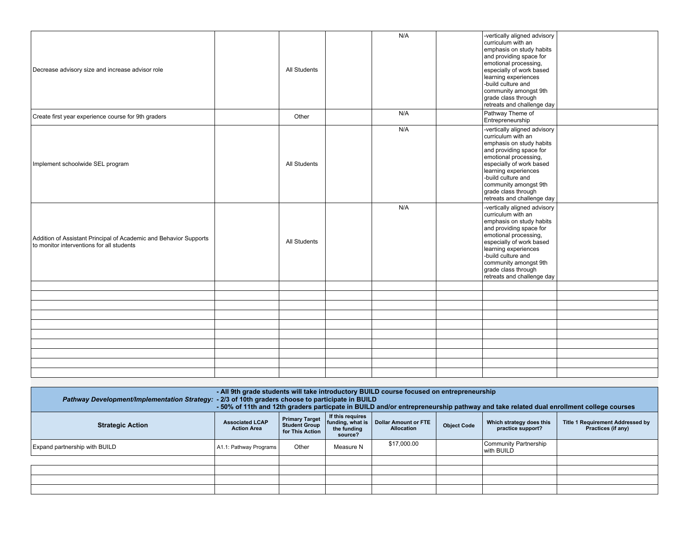| -build culture and<br>community amongst 9th<br>grade class through<br>retreats and challenge day                                                                                                                                                                                                                                                                                                                                    |
|-------------------------------------------------------------------------------------------------------------------------------------------------------------------------------------------------------------------------------------------------------------------------------------------------------------------------------------------------------------------------------------------------------------------------------------|
| N/A<br>Pathway Theme of<br>Create first year experience course for 9th graders<br>Other<br>Entrepreneurship                                                                                                                                                                                                                                                                                                                         |
| -vertically aligned advisory<br>N/A<br>curriculum with an<br>emphasis on study habits<br>and providing space for<br>emotional processing,<br>Implement schoolwide SEL program<br>All Students<br>especially of work based<br>learning experiences<br>-build culture and<br>community amongst 9th<br>grade class through<br>retreats and challenge day                                                                               |
| N/A<br>-vertically aligned advisory<br>curriculum with an<br>emphasis on study habits<br>and providing space for<br>emotional processing,<br>Addition of Assistant Principal of Academic and Behavior Supports<br>All Students<br>especially of work based<br>to monitor interventions for all students<br>learning experiences<br>-build culture and<br>community amongst 9th<br>grade class through<br>retreats and challenge day |
|                                                                                                                                                                                                                                                                                                                                                                                                                                     |
|                                                                                                                                                                                                                                                                                                                                                                                                                                     |
|                                                                                                                                                                                                                                                                                                                                                                                                                                     |
|                                                                                                                                                                                                                                                                                                                                                                                                                                     |
|                                                                                                                                                                                                                                                                                                                                                                                                                                     |
|                                                                                                                                                                                                                                                                                                                                                                                                                                     |
|                                                                                                                                                                                                                                                                                                                                                                                                                                     |
|                                                                                                                                                                                                                                                                                                                                                                                                                                     |

| - All 9th grade students will take introductory BUILD course focused on entrepreneurship<br>Pathway Development/Implementation Strategy: - 2/3 of 10th graders choose to participate in BUILD<br>- 50% of 11th and 12th graders particpate in BUILD and/or entrepreneurship pathway and take related dual enrollment college courses |                                              |                                                                  |                                                                |                                                  |                    |                                               |                                                               |  |  |
|--------------------------------------------------------------------------------------------------------------------------------------------------------------------------------------------------------------------------------------------------------------------------------------------------------------------------------------|----------------------------------------------|------------------------------------------------------------------|----------------------------------------------------------------|--------------------------------------------------|--------------------|-----------------------------------------------|---------------------------------------------------------------|--|--|
| <b>Strategic Action</b>                                                                                                                                                                                                                                                                                                              | <b>Associated LCAP</b><br><b>Action Area</b> | <b>Primary Target</b><br><b>Student Group</b><br>for This Action | If this requires<br>funding, what is<br>the funding<br>source? | <b>Dollar Amount or FTE</b><br><b>Allocation</b> | <b>Object Code</b> | Which strategy does this<br>practice support? | <b>Title 1 Requirement Addressed by</b><br>Practices (if any) |  |  |
| <b>Expand partnership with BUILD</b>                                                                                                                                                                                                                                                                                                 | A1.1: Pathway Programs                       | Other                                                            | Measure N                                                      | \$17,000.00                                      |                    | Community Partnership<br>with BUILD           |                                                               |  |  |
|                                                                                                                                                                                                                                                                                                                                      |                                              |                                                                  |                                                                |                                                  |                    |                                               |                                                               |  |  |
|                                                                                                                                                                                                                                                                                                                                      |                                              |                                                                  |                                                                |                                                  |                    |                                               |                                                               |  |  |
|                                                                                                                                                                                                                                                                                                                                      |                                              |                                                                  |                                                                |                                                  |                    |                                               |                                                               |  |  |
|                                                                                                                                                                                                                                                                                                                                      |                                              |                                                                  |                                                                |                                                  |                    |                                               |                                                               |  |  |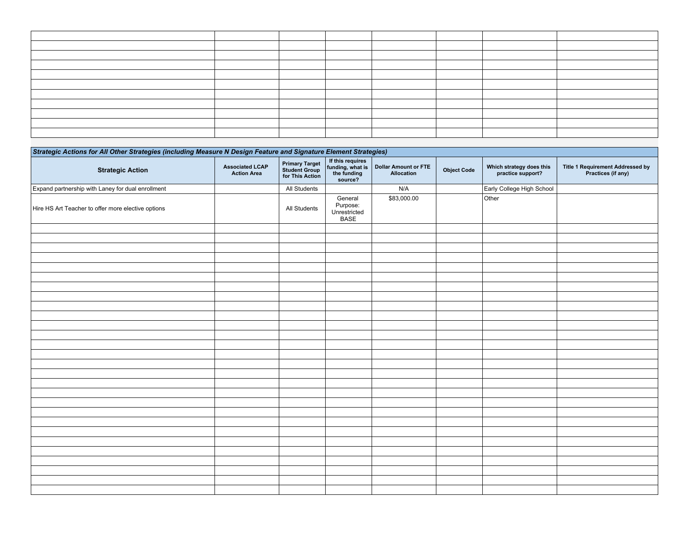| Strategic Actions for All Other Strategies (including Measure N Design Feature and Signature Element Strategies) |                                              |                                                             |                                                                |                                           |                    |                                               |                                                        |  |  |  |  |
|------------------------------------------------------------------------------------------------------------------|----------------------------------------------|-------------------------------------------------------------|----------------------------------------------------------------|-------------------------------------------|--------------------|-----------------------------------------------|--------------------------------------------------------|--|--|--|--|
| <b>Strategic Action</b>                                                                                          | <b>Associated LCAP</b><br><b>Action Area</b> | <b>Primary Target<br/>Student Group<br/>for This Action</b> | If this requires<br>funding, what is<br>the funding<br>source? | <b>Dollar Amount or FTE</b><br>Allocation | <b>Object Code</b> | Which strategy does this<br>practice support? | Title 1 Requirement Addressed by<br>Practices (if any) |  |  |  |  |
| Expand partnership with Laney for dual enrollment                                                                |                                              | All Students                                                |                                                                | N/A                                       |                    | Early College High School                     |                                                        |  |  |  |  |
| Hire HS Art Teacher to offer more elective options                                                               |                                              | All Students                                                | General<br>Purpose:<br>Unrestricted<br><b>BASE</b>             | \$83,000.00                               |                    | Other                                         |                                                        |  |  |  |  |
|                                                                                                                  |                                              |                                                             |                                                                |                                           |                    |                                               |                                                        |  |  |  |  |
|                                                                                                                  |                                              |                                                             |                                                                |                                           |                    |                                               |                                                        |  |  |  |  |
|                                                                                                                  |                                              |                                                             |                                                                |                                           |                    |                                               |                                                        |  |  |  |  |
|                                                                                                                  |                                              |                                                             |                                                                |                                           |                    |                                               |                                                        |  |  |  |  |
|                                                                                                                  |                                              |                                                             |                                                                |                                           |                    |                                               |                                                        |  |  |  |  |
|                                                                                                                  |                                              |                                                             |                                                                |                                           |                    |                                               |                                                        |  |  |  |  |
|                                                                                                                  |                                              |                                                             |                                                                |                                           |                    |                                               |                                                        |  |  |  |  |
|                                                                                                                  |                                              |                                                             |                                                                |                                           |                    |                                               |                                                        |  |  |  |  |
|                                                                                                                  |                                              |                                                             |                                                                |                                           |                    |                                               |                                                        |  |  |  |  |
|                                                                                                                  |                                              |                                                             |                                                                |                                           |                    |                                               |                                                        |  |  |  |  |
|                                                                                                                  |                                              |                                                             |                                                                |                                           |                    |                                               |                                                        |  |  |  |  |
|                                                                                                                  |                                              |                                                             |                                                                |                                           |                    |                                               |                                                        |  |  |  |  |
|                                                                                                                  |                                              |                                                             |                                                                |                                           |                    |                                               |                                                        |  |  |  |  |
|                                                                                                                  |                                              |                                                             |                                                                |                                           |                    |                                               |                                                        |  |  |  |  |
|                                                                                                                  |                                              |                                                             |                                                                |                                           |                    |                                               |                                                        |  |  |  |  |
|                                                                                                                  |                                              |                                                             |                                                                |                                           |                    |                                               |                                                        |  |  |  |  |
|                                                                                                                  |                                              |                                                             |                                                                |                                           |                    |                                               |                                                        |  |  |  |  |
|                                                                                                                  |                                              |                                                             |                                                                |                                           |                    |                                               |                                                        |  |  |  |  |
|                                                                                                                  |                                              |                                                             |                                                                |                                           |                    |                                               |                                                        |  |  |  |  |
|                                                                                                                  |                                              |                                                             |                                                                |                                           |                    |                                               |                                                        |  |  |  |  |
|                                                                                                                  |                                              |                                                             |                                                                |                                           |                    |                                               |                                                        |  |  |  |  |
|                                                                                                                  |                                              |                                                             |                                                                |                                           |                    |                                               |                                                        |  |  |  |  |
|                                                                                                                  |                                              |                                                             |                                                                |                                           |                    |                                               |                                                        |  |  |  |  |
|                                                                                                                  |                                              |                                                             |                                                                |                                           |                    |                                               |                                                        |  |  |  |  |
|                                                                                                                  |                                              |                                                             |                                                                |                                           |                    |                                               |                                                        |  |  |  |  |
|                                                                                                                  |                                              |                                                             |                                                                |                                           |                    |                                               |                                                        |  |  |  |  |
|                                                                                                                  |                                              |                                                             |                                                                |                                           |                    |                                               |                                                        |  |  |  |  |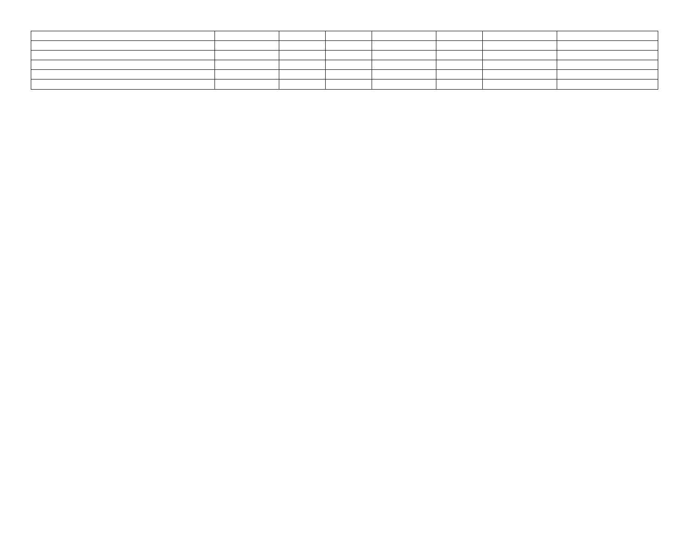| <u> Localista e construire de la construcción de la construcción de la construcción de la construcción de la con</u> |  |  |  |  |
|----------------------------------------------------------------------------------------------------------------------|--|--|--|--|
|                                                                                                                      |  |  |  |  |
| the contract of the contract of the contract of the contract of the contract of                                      |  |  |  |  |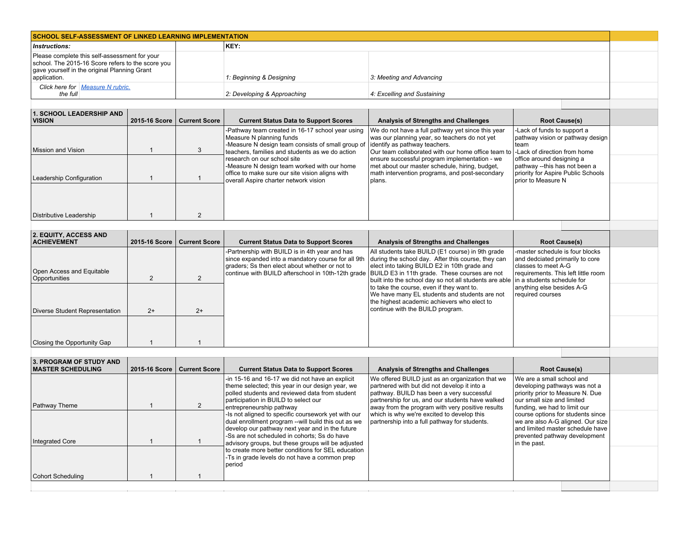| <b>SCHOOL SELF-ASSESSMENT OF LINKED LEARNING IMPLEMENTATION</b>                                                                                                    |                |                      |                                                                                                                                                                                                                                                                      |                                                                                                                                                                                                                                                                   |                                                                                                                                                               |  |
|--------------------------------------------------------------------------------------------------------------------------------------------------------------------|----------------|----------------------|----------------------------------------------------------------------------------------------------------------------------------------------------------------------------------------------------------------------------------------------------------------------|-------------------------------------------------------------------------------------------------------------------------------------------------------------------------------------------------------------------------------------------------------------------|---------------------------------------------------------------------------------------------------------------------------------------------------------------|--|
| Instructions:                                                                                                                                                      |                |                      | KEY:                                                                                                                                                                                                                                                                 |                                                                                                                                                                                                                                                                   |                                                                                                                                                               |  |
| Please complete this self-assessment for your<br>school. The 2015-16 Score refers to the score you<br>gave yourself in the original Planning Grant<br>application. |                |                      | 1: Beginning & Designing                                                                                                                                                                                                                                             | 3: Meeting and Advancing                                                                                                                                                                                                                                          |                                                                                                                                                               |  |
| Click here for Measure N rubric.<br>the full                                                                                                                       |                |                      | 2: Developing & Approaching                                                                                                                                                                                                                                          |                                                                                                                                                                                                                                                                   |                                                                                                                                                               |  |
|                                                                                                                                                                    |                |                      |                                                                                                                                                                                                                                                                      |                                                                                                                                                                                                                                                                   |                                                                                                                                                               |  |
| <b>1. SCHOOL LEADERSHIP AND</b><br><b>VISION</b>                                                                                                                   | 2015-16 Score  | <b>Current Score</b> | <b>Current Status Data to Support Scores</b>                                                                                                                                                                                                                         | Analysis of Strengths and Challenges                                                                                                                                                                                                                              | <b>Root Cause(s)</b>                                                                                                                                          |  |
| Mission and Vision                                                                                                                                                 | $\mathbf{1}$   | 3                    | -Pathway team created in 16-17 school year using<br>Measure N planning funds<br>-Measure N design team consists of small group of<br>teachers, families and students as we do action                                                                                 | We do not have a full pathway yet since this year<br>was our planning year, so teachers do not yet<br>identify as pathway teachers.<br>Our team collaborated with our home office team to                                                                         | -Lack of funds to support a<br>pathway vision or pathway design<br>team<br>-Lack of direction from home                                                       |  |
|                                                                                                                                                                    |                |                      | research on our school site<br>-Measure N design team worked with our home<br>office to make sure our site vision aligns with                                                                                                                                        | ensure successful program implementation - we<br>met about our master schedule, hiring, budget,<br>math intervention programs, and post-secondary                                                                                                                 | office around designing a<br>pathway --this has not been a<br>priority for Aspire Public Schools                                                              |  |
| Leadership Configuration                                                                                                                                           | $\overline{1}$ | $\mathbf{1}$         | overall Aspire charter network vision                                                                                                                                                                                                                                | plans.                                                                                                                                                                                                                                                            | prior to Measure N                                                                                                                                            |  |
| Distributive Leadership                                                                                                                                            | $\overline{1}$ | $\overline{2}$       |                                                                                                                                                                                                                                                                      |                                                                                                                                                                                                                                                                   |                                                                                                                                                               |  |
| 2. EQUITY, ACCESS AND<br><b>ACHIEVEMENT</b>                                                                                                                        | 2015-16 Score  | <b>Current Score</b> | <b>Current Status Data to Support Scores</b>                                                                                                                                                                                                                         | Analysis of Strengths and Challenges                                                                                                                                                                                                                              | <b>Root Cause(s)</b>                                                                                                                                          |  |
| Open Access and Equitable<br>Opportunities                                                                                                                         | $\overline{c}$ | $\overline{2}$       | -Partnership with BUILD is in 4th year and has<br>since expanded into a mandatory course for all 9th<br>graders; Ss then elect about whether or not to<br>continue with BUILD afterschool in 10th-12th grade                                                         | All students take BUILD (E1 course) in 9th grade<br>during the school day. After this course, they can<br>elect into taking BUILD E2 in 10th grade and<br>BUILD E3 in 11th grade. These courses are not<br>built into the school day so not all students are able | master schedule is four blocks<br>and dedciated primarily to core<br>classes to meet A-G<br>requirements. This left little room<br>in a students schedule for |  |
| Diverse Student Representation                                                                                                                                     | $2+$           | $2+$                 |                                                                                                                                                                                                                                                                      | to take the course, even if they want to.<br>We have many EL students and students are not<br>the highest academic achievers who elect to<br>continue with the BUILD program.                                                                                     | anything else besides A-G<br>required courses                                                                                                                 |  |
| Closing the Opportunity Gap                                                                                                                                        | $\mathbf{1}$   | $\mathbf{1}$         |                                                                                                                                                                                                                                                                      |                                                                                                                                                                                                                                                                   |                                                                                                                                                               |  |
|                                                                                                                                                                    |                |                      |                                                                                                                                                                                                                                                                      |                                                                                                                                                                                                                                                                   |                                                                                                                                                               |  |
| <b>3. PROGRAM OF STUDY AND</b><br><b>MASTER SCHEDULING</b>                                                                                                         | 2015-16 Score  | <b>Current Score</b> | <b>Current Status Data to Support Scores</b>                                                                                                                                                                                                                         | <b>Analysis of Strengths and Challenges</b>                                                                                                                                                                                                                       | <b>Root Cause(s)</b>                                                                                                                                          |  |
| Pathway Theme                                                                                                                                                      | -1             | $\overline{2}$       | -in 15-16 and 16-17 we did not have an explicit<br>theme selected; this year in our design year, we<br>polled students and reviewed data from student<br>participation in BUILD to select our<br>entrepreneurship pathway                                            | We offered BUILD just as an organization that we<br>partnered with but did not develop it into a<br>pathway. BUILD has been a very successful<br>partnership for us, and our students have walked<br>away from the program with very positive results             | We are a small school and<br>developing pathways was not a<br>priority prior to Measure N. Due<br>our small size and limited<br>funding, we had to limit our  |  |
|                                                                                                                                                                    |                |                      | -Is not aligned to specific coursework yet with our<br>dual enrollment program -- will build this out as we<br>develop our pathway next year and in the future<br>-Ss are not scheduled in cohorts: Ss do have<br>advisory groups, but these groups will be adjusted | which is why we're excited to develop this<br>partnership into a full pathway for students.                                                                                                                                                                       | course options for students since<br>we are also A-G aligned. Our size<br>and limited master schedule have<br>prevented pathway development<br>in the past.   |  |
| <b>Integrated Core</b>                                                                                                                                             | $\mathbf{1}$   | $\mathbf{1}$         |                                                                                                                                                                                                                                                                      |                                                                                                                                                                                                                                                                   |                                                                                                                                                               |  |
|                                                                                                                                                                    |                |                      | to create more better conditions for SEL education<br>-Ts in grade levels do not have a common prep<br>period                                                                                                                                                        |                                                                                                                                                                                                                                                                   |                                                                                                                                                               |  |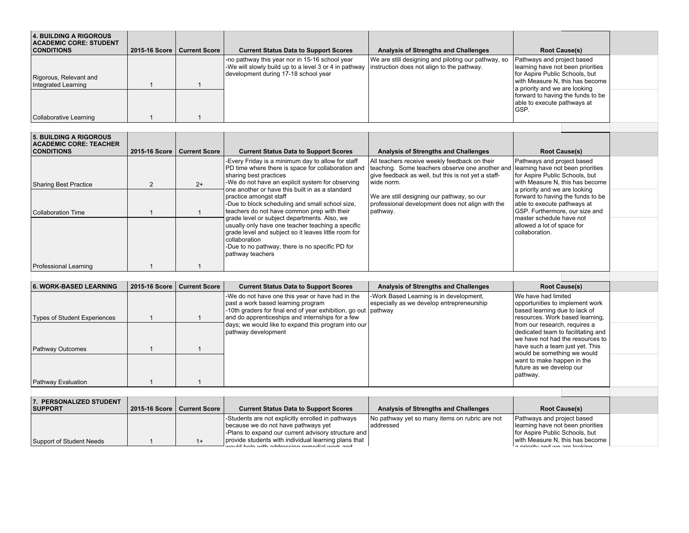| 4. BUILDING A RIGOROUS<br><b>ACADEMIC CORE: STUDENT</b><br><b>CONDITIONS</b> | 2015-16 Score   Current Score | <b>Current Status Data to Support Scores</b>                                                                                                    | Analysis of Strengths and Challenges                                                              | <b>Root Cause(s)</b>                                                                                                                                                  |  |
|------------------------------------------------------------------------------|-------------------------------|-------------------------------------------------------------------------------------------------------------------------------------------------|---------------------------------------------------------------------------------------------------|-----------------------------------------------------------------------------------------------------------------------------------------------------------------------|--|
| Rigorous, Relevant and<br>Integrated Learning                                |                               | -no pathway this year nor in 15-16 school year<br>-We will slowly build up to a level 3 or 4 in pathway<br>development during 17-18 school year | We are still designing and piloting our pathway, so<br>instruction does not align to the pathway. | Pathways and project based<br>learning have not been priorities<br>for Aspire Public Schools, but<br>with Measure N. this has become<br>a priority and we are looking |  |
| Collaborative Learning                                                       |                               |                                                                                                                                                 |                                                                                                   | forward to having the funds to be<br>able to execute pathways at<br>l GSP.                                                                                            |  |

| <b>5. BUILDING A RIGOROUS</b><br><b>ACADEMIC CORE: TEACHER</b><br><b>CONDITIONS</b> | 2015-16 Score | <b>Current Score</b> | <b>Current Status Data to Support Scores</b>                                                                                                                                                                                                      | <b>Analysis of Strengths and Challenges</b>                                                                                                                                                             | <b>Root Cause(s)</b>                                                                                                                |  |
|-------------------------------------------------------------------------------------|---------------|----------------------|---------------------------------------------------------------------------------------------------------------------------------------------------------------------------------------------------------------------------------------------------|---------------------------------------------------------------------------------------------------------------------------------------------------------------------------------------------------------|-------------------------------------------------------------------------------------------------------------------------------------|--|
| <b>Sharing Best Practice</b>                                                        |               | $2+$                 | -Every Friday is a minimum day to allow for staff<br>PD time where there is space for collaboration and<br>sharing best practices<br>-We do not have an explicit system for observing                                                             | All teachers receive weekly feedback on their<br>teaching. Some teachers observe one another and learning have not been priorities<br>give feedback as well, but this is not yet a staff-<br>wide norm. | Pathways and project based<br>for Aspire Public Schools, but<br>with Measure N, this has become                                     |  |
| Collaboration Time                                                                  |               |                      | one another or have this built in as a standard<br>practice amongst staff<br>-Due to block scheduling and small school size,<br>teachers do not have common prep with their                                                                       | We are still designing our pathway, so our<br>professional development does not align with the<br>pathway.                                                                                              | a priority and we are looking<br>forward to having the funds to be<br>able to execute pathways at<br>GSP. Furthermore, our size and |  |
|                                                                                     |               |                      | grade level or subject departments. Also, we<br>usually only have one teacher teaching a specific<br>grade level and subject so it leaves little room for<br>collaboration<br>-Due to no pathway, there is no specific PD for<br>pathway teachers |                                                                                                                                                                                                         | I master schedule have not<br>allowed a lot of space for<br>collaboration.                                                          |  |
| <b>Professional Learning</b>                                                        |               |                      |                                                                                                                                                                                                                                                   |                                                                                                                                                                                                         |                                                                                                                                     |  |

| <b>6. WORK-BASED LEARNING</b>       | 2015-16 Score | <b>Current Score</b> | <b>Current Status Data to Support Scores</b>                                                                                                               | Analysis of Strengths and Challenges                                                 | <b>Root Cause(s)</b>                                                                                                                       |  |
|-------------------------------------|---------------|----------------------|------------------------------------------------------------------------------------------------------------------------------------------------------------|--------------------------------------------------------------------------------------|--------------------------------------------------------------------------------------------------------------------------------------------|--|
|                                     |               |                      | -We do not have one this year or have had in the<br>past a work based learning program<br>-10th graders for final end of year exhibition, go out   pathway | -Work Based Learning is in development,<br>especially as we develop entrepreneurship | We have had limited<br>opportunities to implement work<br>based learning due to lack of                                                    |  |
| <b>Types of Student Experiences</b> |               |                      | and do apprenticeships and internships for a few                                                                                                           |                                                                                      | resources. Work based learning,                                                                                                            |  |
| <b>Pathway Outcomes</b>             |               |                      | days; we would like to expand this program into our<br>pathway development                                                                                 |                                                                                      | from our research, requires a<br>dedicated team to facilitating and<br>we have not had the resources to<br>have such a team just yet. This |  |
|                                     |               |                      |                                                                                                                                                            |                                                                                      | would be something we would<br>want to make happen in the                                                                                  |  |
|                                     |               |                      |                                                                                                                                                            |                                                                                      | future as we develop our<br>pathway.                                                                                                       |  |
| <b>Pathway Evaluation</b>           |               |                      |                                                                                                                                                            |                                                                                      |                                                                                                                                            |  |
|                                     |               |                      |                                                                                                                                                            |                                                                                      |                                                                                                                                            |  |
| <b>7. PERSONALIZED STUDENT</b>      |               |                      |                                                                                                                                                            |                                                                                      |                                                                                                                                            |  |
| <b>SUPPORT</b>                      | 2015-16 Score | <b>Current Score</b> | <b>Current Status Data to Support Scores</b>                                                                                                               | <b>Analysis of Strengths and Challenges</b>                                          | <b>Root Cause(s)</b>                                                                                                                       |  |
|                                     |               |                      | -Students are not explicitly enrolled in pathways<br>because we do not have pathways yet                                                                   | No pathway yet so many items on rubric are not<br>laddressed                         | Pathways and project based<br>learning have not been priorities                                                                            |  |
|                                     |               |                      | -Plans to expand our current advisory structure and                                                                                                        |                                                                                      | for Aspire Public Schools, but                                                                                                             |  |
| Support of Student Needs            |               | $1+$                 | provide students with individual learning plans that<br>المستحر واستجرد المؤامرة ممرمون بمساوية وموامله والمطالبات المراجعا المراريق                       |                                                                                      | with Measure N, this has become<br>المساوا مسارسته المتعاملين والمستحدث والمتحاوية                                                         |  |

a priority and we are looking

would help with addressing remedial work and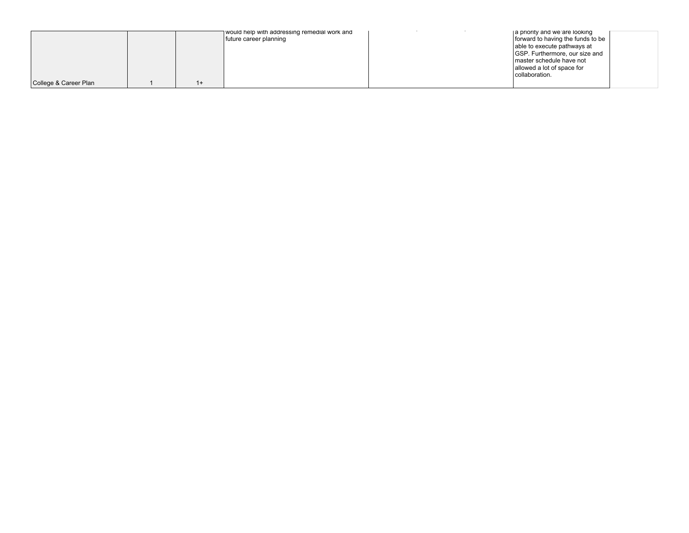|                       |  | would help with addressing remedial work and<br>future career planning | a priority and we are looking<br>forward to having the funds to be<br>able to execute pathways at<br>GSP. Furthermore, our size and<br>master schedule have not<br>allowed a lot of space for<br>collaboration. |  |
|-----------------------|--|------------------------------------------------------------------------|-----------------------------------------------------------------------------------------------------------------------------------------------------------------------------------------------------------------|--|
| College & Career Plan |  |                                                                        |                                                                                                                                                                                                                 |  |